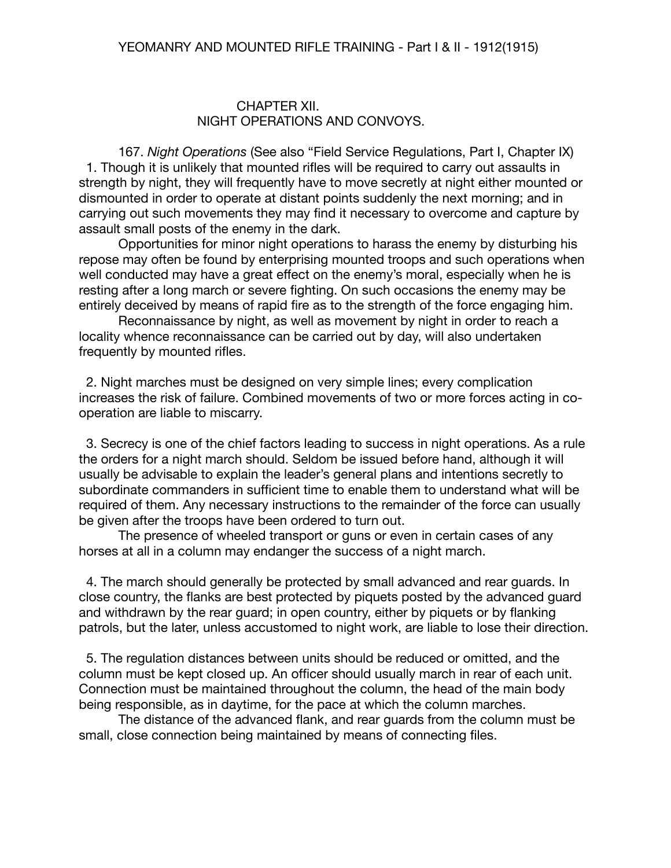### CHAPTER XII. NIGHT OPERATIONS AND CONVOYS.

167. *Night Operations* (See also "Field Service Regulations, Part I, Chapter IX) 1. Though it is unlikely that mounted rifles will be required to carry out assaults in strength by night, they will frequently have to move secretly at night either mounted or dismounted in order to operate at distant points suddenly the next morning; and in carrying out such movements they may find it necessary to overcome and capture by assault small posts of the enemy in the dark.

Opportunities for minor night operations to harass the enemy by disturbing his repose may often be found by enterprising mounted troops and such operations when well conducted may have a great effect on the enemy's moral, especially when he is resting after a long march or severe fighting. On such occasions the enemy may be entirely deceived by means of rapid fire as to the strength of the force engaging him.

Reconnaissance by night, as well as movement by night in order to reach a locality whence reconnaissance can be carried out by day, will also undertaken frequently by mounted rifles.

 2. Night marches must be designed on very simple lines; every complication increases the risk of failure. Combined movements of two or more forces acting in cooperation are liable to miscarry.

 3. Secrecy is one of the chief factors leading to success in night operations. As a rule the orders for a night march should. Seldom be issued before hand, although it will usually be advisable to explain the leader's general plans and intentions secretly to subordinate commanders in sufficient time to enable them to understand what will be required of them. Any necessary instructions to the remainder of the force can usually be given after the troops have been ordered to turn out.

The presence of wheeled transport or guns or even in certain cases of any horses at all in a column may endanger the success of a night march.

 4. The march should generally be protected by small advanced and rear guards. In close country, the flanks are best protected by piquets posted by the advanced guard and withdrawn by the rear guard; in open country, either by piquets or by flanking patrols, but the later, unless accustomed to night work, are liable to lose their direction.

 5. The regulation distances between units should be reduced or omitted, and the column must be kept closed up. An officer should usually march in rear of each unit. Connection must be maintained throughout the column, the head of the main body being responsible, as in daytime, for the pace at which the column marches.

The distance of the advanced flank, and rear guards from the column must be small, close connection being maintained by means of connecting files.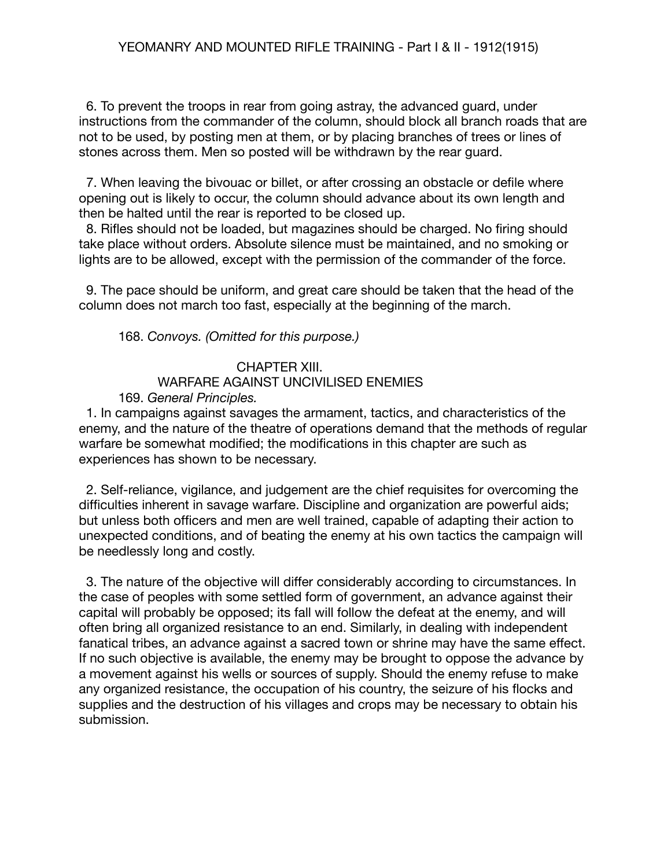6. To prevent the troops in rear from going astray, the advanced guard, under instructions from the commander of the column, should block all branch roads that are not to be used, by posting men at them, or by placing branches of trees or lines of stones across them. Men so posted will be withdrawn by the rear guard.

 7. When leaving the bivouac or billet, or after crossing an obstacle or defile where opening out is likely to occur, the column should advance about its own length and then be halted until the rear is reported to be closed up.

 8. Rifles should not be loaded, but magazines should be charged. No firing should take place without orders. Absolute silence must be maintained, and no smoking or lights are to be allowed, except with the permission of the commander of the force.

 9. The pace should be uniform, and great care should be taken that the head of the column does not march too fast, especially at the beginning of the march.

# 168. *Convoys. (Omitted for this purpose.)*

## CHAPTER XIII. WARFARE AGAINST UNCIVILISED ENEMIES 169. *General Principles.*

1. In campaigns against savages the armament, tactics, and characteristics of the enemy, and the nature of the theatre of operations demand that the methods of regular warfare be somewhat modified; the modifications in this chapter are such as

experiences has shown to be necessary.

 2. Self-reliance, vigilance, and judgement are the chief requisites for overcoming the difficulties inherent in savage warfare. Discipline and organization are powerful aids; but unless both officers and men are well trained, capable of adapting their action to unexpected conditions, and of beating the enemy at his own tactics the campaign will be needlessly long and costly.

 3. The nature of the objective will differ considerably according to circumstances. In the case of peoples with some settled form of government, an advance against their capital will probably be opposed; its fall will follow the defeat at the enemy, and will often bring all organized resistance to an end. Similarly, in dealing with independent fanatical tribes, an advance against a sacred town or shrine may have the same effect. If no such objective is available, the enemy may be brought to oppose the advance by a movement against his wells or sources of supply. Should the enemy refuse to make any organized resistance, the occupation of his country, the seizure of his flocks and supplies and the destruction of his villages and crops may be necessary to obtain his submission.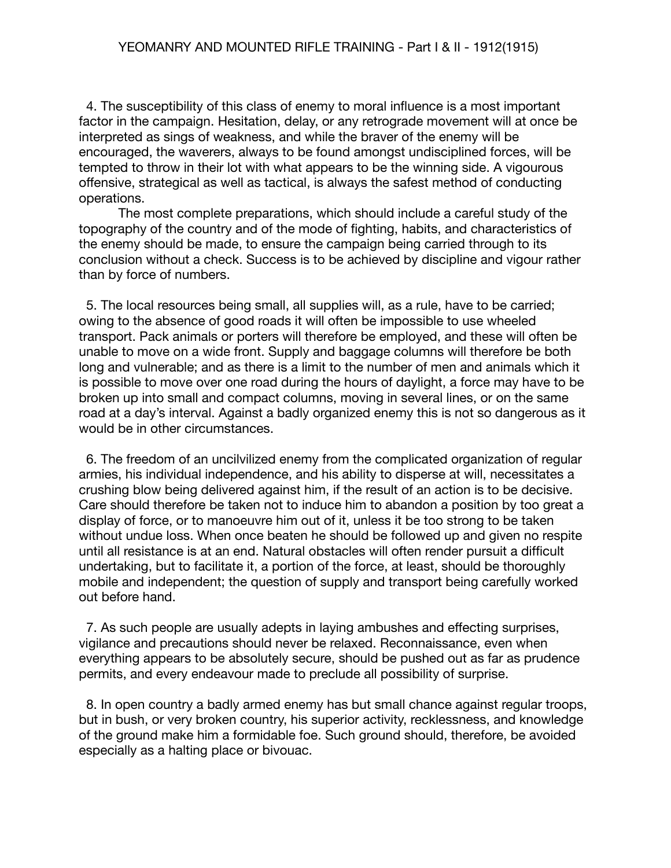4. The susceptibility of this class of enemy to moral influence is a most important factor in the campaign. Hesitation, delay, or any retrograde movement will at once be interpreted as sings of weakness, and while the braver of the enemy will be encouraged, the waverers, always to be found amongst undisciplined forces, will be tempted to throw in their lot with what appears to be the winning side. A vigourous offensive, strategical as well as tactical, is always the safest method of conducting operations.

The most complete preparations, which should include a careful study of the topography of the country and of the mode of fighting, habits, and characteristics of the enemy should be made, to ensure the campaign being carried through to its conclusion without a check. Success is to be achieved by discipline and vigour rather than by force of numbers.

 5. The local resources being small, all supplies will, as a rule, have to be carried; owing to the absence of good roads it will often be impossible to use wheeled transport. Pack animals or porters will therefore be employed, and these will often be unable to move on a wide front. Supply and baggage columns will therefore be both long and vulnerable; and as there is a limit to the number of men and animals which it is possible to move over one road during the hours of daylight, a force may have to be broken up into small and compact columns, moving in several lines, or on the same road at a day's interval. Against a badly organized enemy this is not so dangerous as it would be in other circumstances.

 6. The freedom of an uncilvilized enemy from the complicated organization of regular armies, his individual independence, and his ability to disperse at will, necessitates a crushing blow being delivered against him, if the result of an action is to be decisive. Care should therefore be taken not to induce him to abandon a position by too great a display of force, or to manoeuvre him out of it, unless it be too strong to be taken without undue loss. When once beaten he should be followed up and given no respite until all resistance is at an end. Natural obstacles will often render pursuit a difficult undertaking, but to facilitate it, a portion of the force, at least, should be thoroughly mobile and independent; the question of supply and transport being carefully worked out before hand.

 7. As such people are usually adepts in laying ambushes and effecting surprises, vigilance and precautions should never be relaxed. Reconnaissance, even when everything appears to be absolutely secure, should be pushed out as far as prudence permits, and every endeavour made to preclude all possibility of surprise.

 8. In open country a badly armed enemy has but small chance against regular troops, but in bush, or very broken country, his superior activity, recklessness, and knowledge of the ground make him a formidable foe. Such ground should, therefore, be avoided especially as a halting place or bivouac.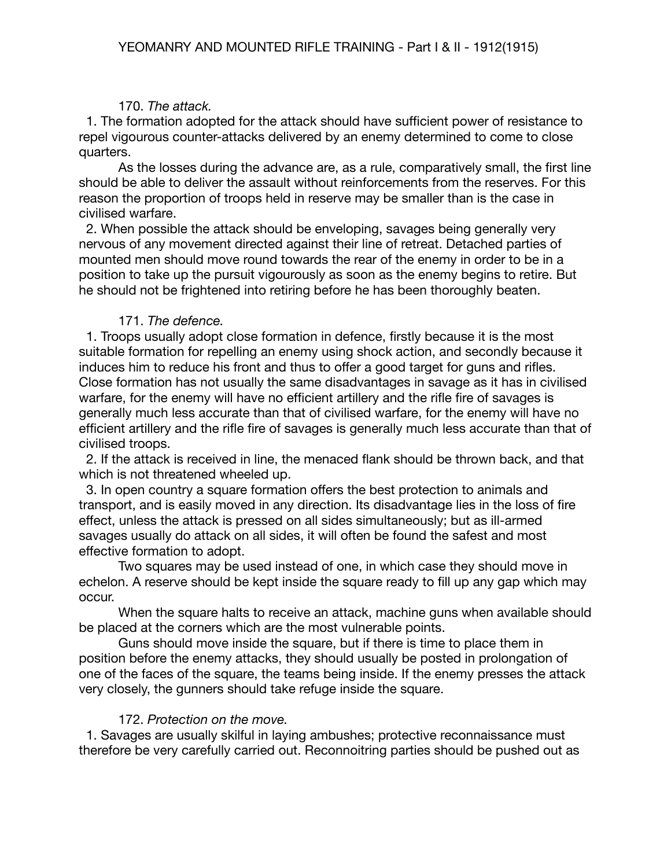# 170. *The attack.*

 1. The formation adopted for the attack should have sufficient power of resistance to repel vigourous counter-attacks delivered by an enemy determined to come to close quarters.

As the losses during the advance are, as a rule, comparatively small, the first line should be able to deliver the assault without reinforcements from the reserves. For this reason the proportion of troops held in reserve may be smaller than is the case in civilised warfare.

 2. When possible the attack should be enveloping, savages being generally very nervous of any movement directed against their line of retreat. Detached parties of mounted men should move round towards the rear of the enemy in order to be in a position to take up the pursuit vigourously as soon as the enemy begins to retire. But he should not be frightened into retiring before he has been thoroughly beaten.

## 171. *The defence.*

 1. Troops usually adopt close formation in defence, firstly because it is the most suitable formation for repelling an enemy using shock action, and secondly because it induces him to reduce his front and thus to offer a good target for guns and rifles. Close formation has not usually the same disadvantages in savage as it has in civilised warfare, for the enemy will have no efficient artillery and the rifle fire of savages is generally much less accurate than that of civilised warfare, for the enemy will have no efficient artillery and the rifle fire of savages is generally much less accurate than that of civilised troops.

 2. If the attack is received in line, the menaced flank should be thrown back, and that which is not threatened wheeled up.

 3. In open country a square formation offers the best protection to animals and transport, and is easily moved in any direction. Its disadvantage lies in the loss of fire effect, unless the attack is pressed on all sides simultaneously; but as ill-armed savages usually do attack on all sides, it will often be found the safest and most effective formation to adopt.

Two squares may be used instead of one, in which case they should move in echelon. A reserve should be kept inside the square ready to fill up any gap which may occur.

When the square halts to receive an attack, machine guns when available should be placed at the corners which are the most vulnerable points.

Guns should move inside the square, but if there is time to place them in position before the enemy attacks, they should usually be posted in prolongation of one of the faces of the square, the teams being inside. If the enemy presses the attack very closely, the gunners should take refuge inside the square.

# 172. *Protection on the move.*

1. Savages are usually skilful in laying ambushes; protective reconnaissance must therefore be very carefully carried out. Reconnoitring parties should be pushed out as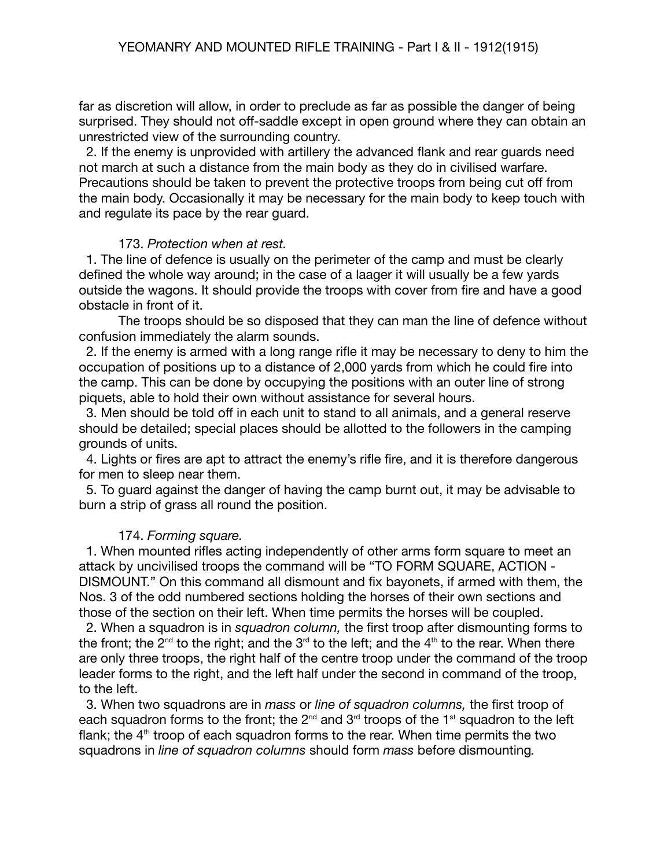far as discretion will allow, in order to preclude as far as possible the danger of being surprised. They should not off-saddle except in open ground where they can obtain an unrestricted view of the surrounding country.

 2. If the enemy is unprovided with artillery the advanced flank and rear guards need not march at such a distance from the main body as they do in civilised warfare. Precautions should be taken to prevent the protective troops from being cut off from the main body. Occasionally it may be necessary for the main body to keep touch with and regulate its pace by the rear guard.

#### 173. *Protection when at rest.*

1. The line of defence is usually on the perimeter of the camp and must be clearly defined the whole way around; in the case of a laager it will usually be a few yards outside the wagons. It should provide the troops with cover from fire and have a good obstacle in front of it.

The troops should be so disposed that they can man the line of defence without confusion immediately the alarm sounds.

 2. If the enemy is armed with a long range rifle it may be necessary to deny to him the occupation of positions up to a distance of 2,000 yards from which he could fire into the camp. This can be done by occupying the positions with an outer line of strong piquets, able to hold their own without assistance for several hours.

 3. Men should be told off in each unit to stand to all animals, and a general reserve should be detailed; special places should be allotted to the followers in the camping grounds of units.

 4. Lights or fires are apt to attract the enemy's rifle fire, and it is therefore dangerous for men to sleep near them.

 5. To guard against the danger of having the camp burnt out, it may be advisable to burn a strip of grass all round the position.

## 174. *Forming square.*

 1. When mounted rifles acting independently of other arms form square to meet an attack by uncivilised troops the command will be "TO FORM SQUARE, ACTION - DISMOUNT." On this command all dismount and fix bayonets, if armed with them, the Nos. 3 of the odd numbered sections holding the horses of their own sections and those of the section on their left. When time permits the horses will be coupled.

 2. When a squadron is in *squadron column,* the first troop after dismounting forms to the front; the 2<sup>nd</sup> to the right; and the 3<sup>rd</sup> to the left; and the 4<sup>th</sup> to the rear. When there are only three troops, the right half of the centre troop under the command of the troop leader forms to the right, and the left half under the second in command of the troop, to the left.

 3. When two squadrons are in *mass* or *line of squadron columns,* the first troop of each squadron forms to the front; the 2<sup>nd</sup> and 3<sup>rd</sup> troops of the 1<sup>st</sup> squadron to the left flank; the  $4<sup>th</sup>$  troop of each squadron forms to the rear. When time permits the two squadrons in *line of squadron columns* should form *mass* before dismounting*.*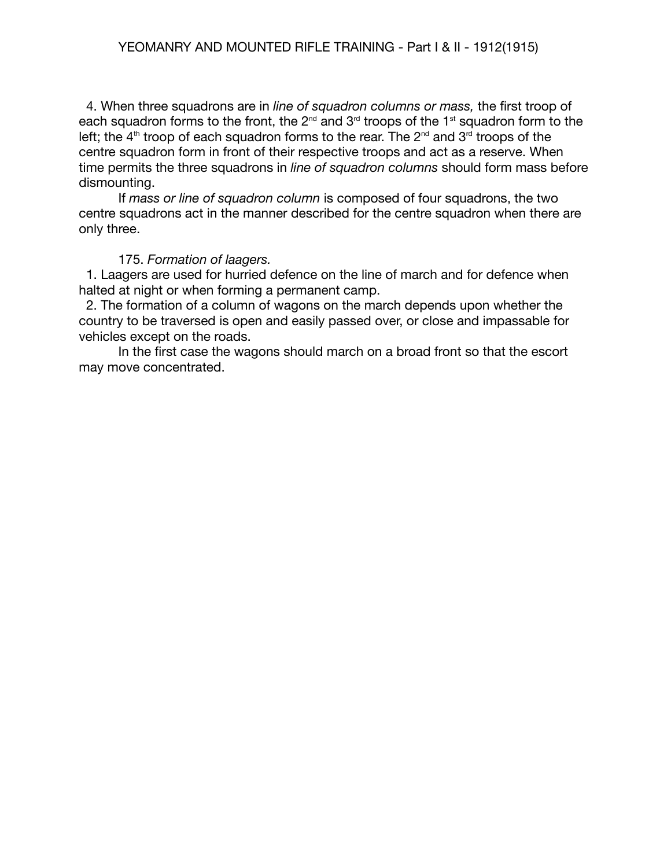4. When three squadrons are in *line of squadron columns or mass,* the first troop of each squadron forms to the front, the 2<sup>nd</sup> and 3<sup>rd</sup> troops of the 1<sup>st</sup> squadron form to the left; the 4<sup>th</sup> troop of each squadron forms to the rear. The 2<sup>nd</sup> and 3<sup>rd</sup> troops of the centre squadron form in front of their respective troops and act as a reserve. When time permits the three squadrons in *line of squadron columns* should form mass before dismounting.

If *mass or line of squadron column* is composed of four squadrons, the two centre squadrons act in the manner described for the centre squadron when there are only three.

#### 175. *Formation of laagers.*

 1. Laagers are used for hurried defence on the line of march and for defence when halted at night or when forming a permanent camp.

 2. The formation of a column of wagons on the march depends upon whether the country to be traversed is open and easily passed over, or close and impassable for vehicles except on the roads.

In the first case the wagons should march on a broad front so that the escort may move concentrated.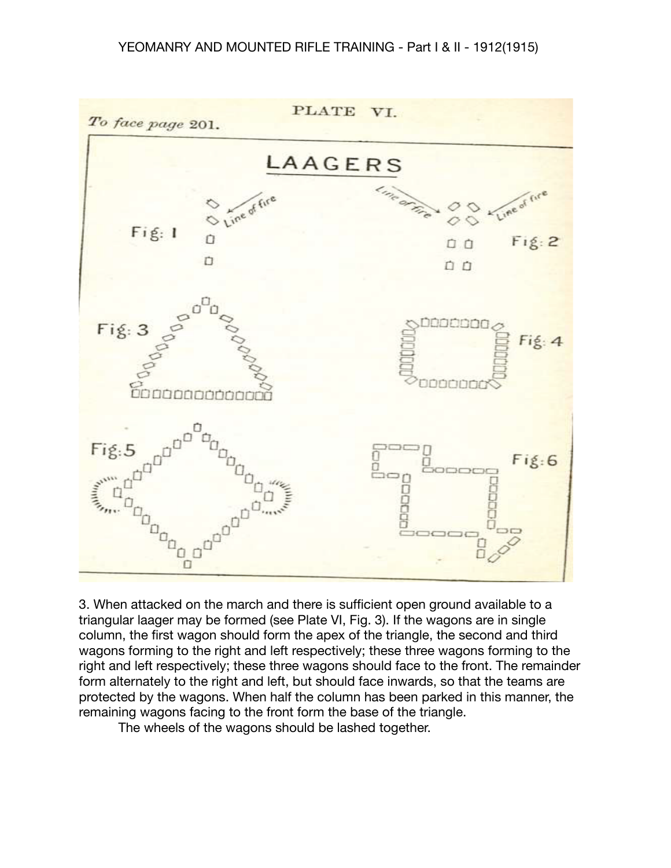#### YEOMANRY AND MOUNTED RIFLE TRAINING - Part I & II - 1912(1915)



3. When attacked on the march and there is sufficient open ground available to a triangular laager may be formed (see Plate VI, Fig. 3). If the wagons are in single column, the first wagon should form the apex of the triangle, the second and third wagons forming to the right and left respectively; these three wagons forming to the right and left respectively; these three wagons should face to the front. The remainder form alternately to the right and left, but should face inwards, so that the teams are protected by the wagons. When half the column has been parked in this manner, the remaining wagons facing to the front form the base of the triangle.

The wheels of the wagons should be lashed together.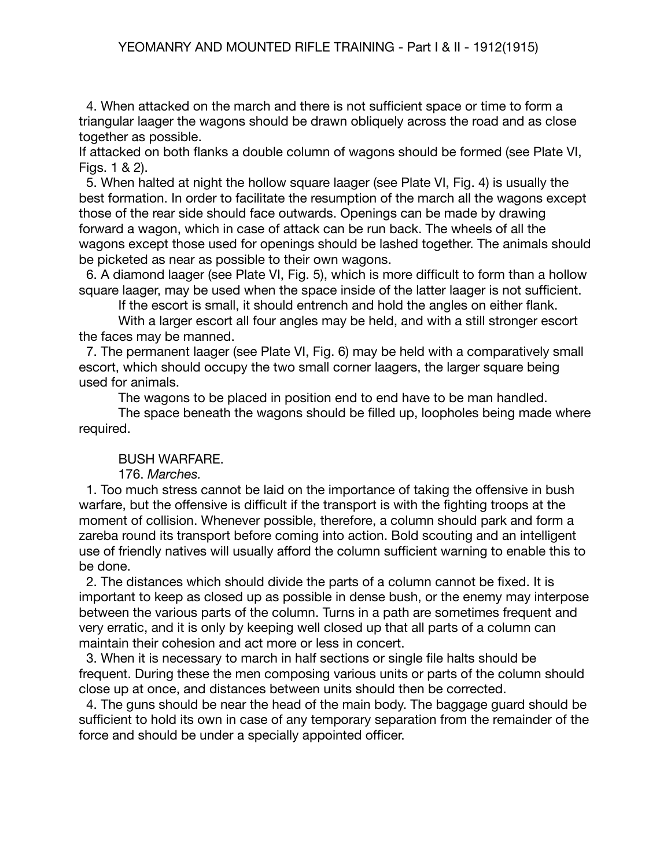4. When attacked on the march and there is not sufficient space or time to form a triangular laager the wagons should be drawn obliquely across the road and as close together as possible.

If attacked on both flanks a double column of wagons should be formed (see Plate VI, Figs. 1 & 2).

 5. When halted at night the hollow square laager (see Plate VI, Fig. 4) is usually the best formation. In order to facilitate the resumption of the march all the wagons except those of the rear side should face outwards. Openings can be made by drawing forward a wagon, which in case of attack can be run back. The wheels of all the wagons except those used for openings should be lashed together. The animals should be picketed as near as possible to their own wagons.

 6. A diamond laager (see Plate VI, Fig. 5), which is more difficult to form than a hollow square laager, may be used when the space inside of the latter laager is not sufficient.

If the escort is small, it should entrench and hold the angles on either flank.

With a larger escort all four angles may be held, and with a still stronger escort the faces may be manned.

 7. The permanent laager (see Plate VI, Fig. 6) may be held with a comparatively small escort, which should occupy the two small corner laagers, the larger square being used for animals.

The wagons to be placed in position end to end have to be man handled.

The space beneath the wagons should be filled up, loopholes being made where required.

#### BUSH WARFARE.

176. *Marches.*

1. Too much stress cannot be laid on the importance of taking the offensive in bush warfare, but the offensive is difficult if the transport is with the fighting troops at the moment of collision. Whenever possible, therefore, a column should park and form a zareba round its transport before coming into action. Bold scouting and an intelligent use of friendly natives will usually afford the column sufficient warning to enable this to be done.

 2. The distances which should divide the parts of a column cannot be fixed. It is important to keep as closed up as possible in dense bush, or the enemy may interpose between the various parts of the column. Turns in a path are sometimes frequent and very erratic, and it is only by keeping well closed up that all parts of a column can maintain their cohesion and act more or less in concert.

 3. When it is necessary to march in half sections or single file halts should be frequent. During these the men composing various units or parts of the column should close up at once, and distances between units should then be corrected.

 4. The guns should be near the head of the main body. The baggage guard should be sufficient to hold its own in case of any temporary separation from the remainder of the force and should be under a specially appointed officer.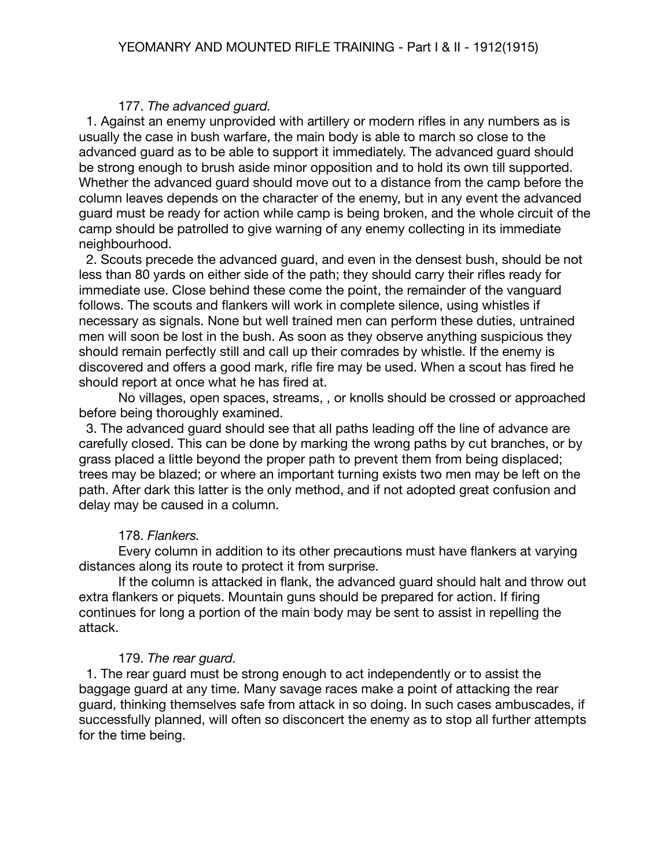#### 177. *The advanced guard.*

 1. Against an enemy unprovided with artillery or modern rifles in any numbers as is usually the case in bush warfare, the main body is able to march so close to the advanced guard as to be able to support it immediately. The advanced guard should be strong enough to brush aside minor opposition and to hold its own till supported. Whether the advanced guard should move out to a distance from the camp before the column leaves depends on the character of the enemy, but in any event the advanced guard must be ready for action while camp is being broken, and the whole circuit of the camp should be patrolled to give warning of any enemy collecting in its immediate neighbourhood.

 2. Scouts precede the advanced guard, and even in the densest bush, should be not less than 80 yards on either side of the path; they should carry their rifles ready for immediate use. Close behind these come the point, the remainder of the vanguard follows. The scouts and flankers will work in complete silence, using whistles if necessary as signals. None but well trained men can perform these duties, untrained men will soon be lost in the bush. As soon as they observe anything suspicious they should remain perfectly still and call up their comrades by whistle. If the enemy is discovered and offers a good mark, rifle fire may be used. When a scout has fired he should report at once what he has fired at.

No villages, open spaces, streams, , or knolls should be crossed or approached before being thoroughly examined.

 3. The advanced guard should see that all paths leading off the line of advance are carefully closed. This can be done by marking the wrong paths by cut branches, or by grass placed a little beyond the proper path to prevent them from being displaced; trees may be blazed; or where an important turning exists two men may be left on the path. After dark this latter is the only method, and if not adopted great confusion and delay may be caused in a column.

## 178. *Flankers.*

Every column in addition to its other precautions must have flankers at varying distances along its route to protect it from surprise.

If the column is attacked in flank, the advanced guard should halt and throw out extra flankers or piquets. Mountain guns should be prepared for action. If firing continues for long a portion of the main body may be sent to assist in repelling the attack.

## 179. *The rear guard.*

 1. The rear guard must be strong enough to act independently or to assist the baggage guard at any time. Many savage races make a point of attacking the rear guard, thinking themselves safe from attack in so doing. In such cases ambuscades, if successfully planned, will often so disconcert the enemy as to stop all further attempts for the time being.